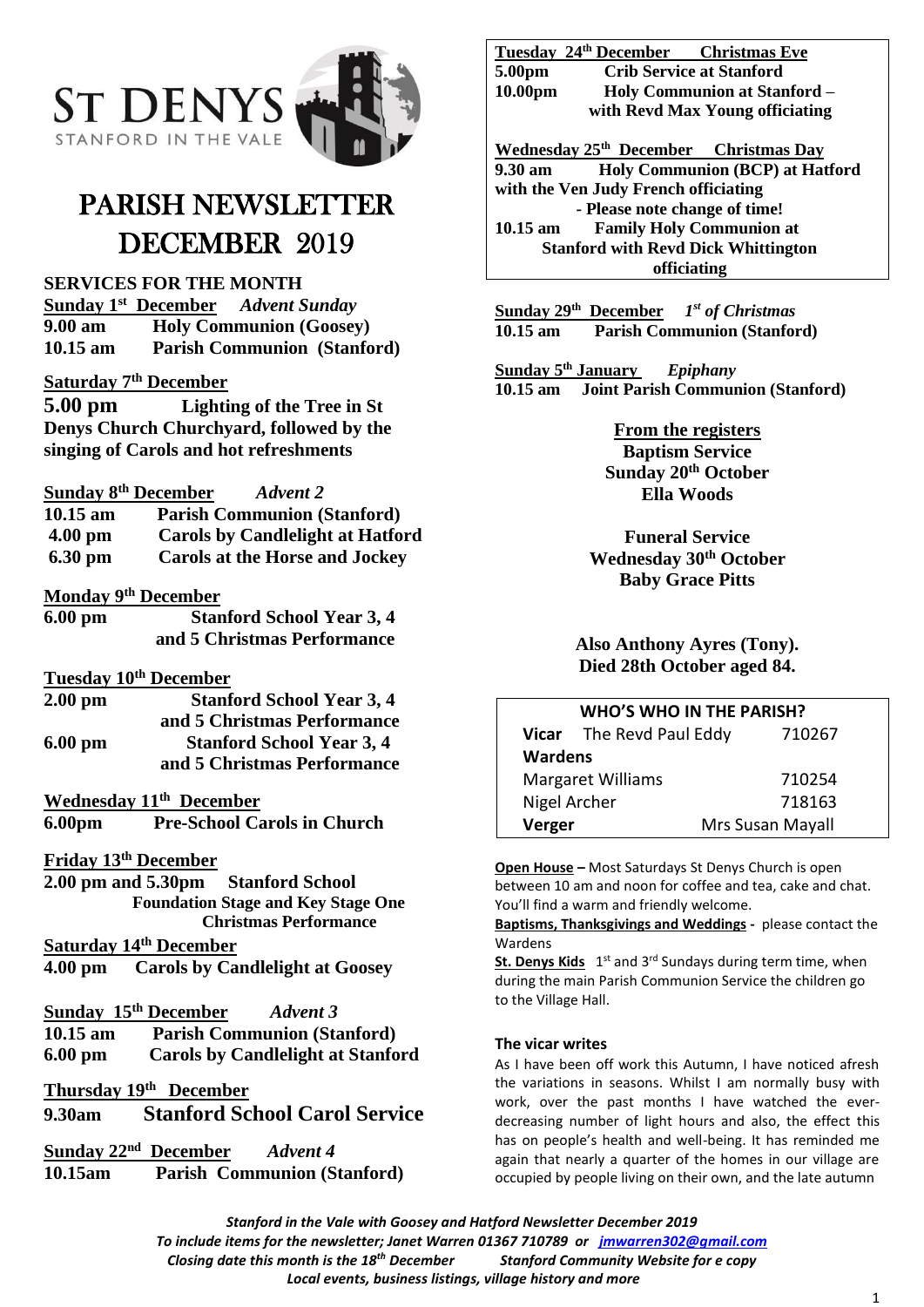

# PARISH NEWSLETTER DECEMBER 2019

**SERVICES FOR THE MONTH**

**Sunday 1 st December** *Advent Sunday* **9.00 am Holy Communion (Goosey) 10.15 am Parish Communion (Stanford)**

# **Saturday 7th December**

**5.00 pm Lighting of the Tree in St Denys Church Churchyard, followed by the singing of Carols and hot refreshments**

#### **Sunday 8 th December** *Advent 2*

| $10.15$ am        | <b>Parish Communion (Stanford)</b>      |
|-------------------|-----------------------------------------|
| $4.00 \text{ pm}$ | <b>Carols by Candlelight at Hatford</b> |
| 6.30 pm           | <b>Carols at the Horse and Jockey</b>   |

#### **Monday 9 th December**

**6.00 pm Stanford School Year 3, 4 and 5 Christmas Performance**

#### **Tuesday 10 th December**

**2.00 pm Stanford School Year 3, 4 and 5 Christmas Performance 6.00 pm Stanford School Year 3, 4 and 5 Christmas Performance**

# **Wednesday 11 th December**

**6.00pm Pre-School Carols in Church**

### **Friday 13 th December**

**2.00 pm and 5.30pm Stanford School Foundation Stage and Key Stage One Christmas Performance**

# **Saturday 14 th December**

**4.00 pm Carols by Candlelight at Goosey**

# **Sunday 15 th December** *Advent 3*  **10.15 am Parish Communion (Stanford) 6.00 pm Carols by Candlelight at Stanford**

# **Thursday 19 th December**

**9.30am Stanford School Carol Service**

**Sunday 22 nd December** *Advent 4* **10.15am Parish Communion (Stanford)**

|                                 |                                     | Tuesday 24 <sup>th</sup> December Christmas Eve   |  |  |
|---------------------------------|-------------------------------------|---------------------------------------------------|--|--|
| 5.00pm                          |                                     | <b>Crib Service at Stanford</b>                   |  |  |
| 10.00 <sub>pm</sub>             | <b>Holy Communion at Stanford -</b> |                                                   |  |  |
| with Revd Max Young officiating |                                     |                                                   |  |  |
|                                 |                                     | Wednesday 25 <sup>th</sup> December Christmas Day |  |  |

**9.30 am Holy Communion (BCP) at Hatford with the Ven Judy French officiating - Please note change of time! 10.15 am Family Holy Communion at Stanford with Revd Dick Whittington officiating**

**Sunday 29th December** *1 st of Christmas* **10.15 am Parish Communion (Stanford)**

**Sunday 5 th January** *Epiphany* **10.15 am Joint Parish Communion (Stanford)**

# **From the registers**

**Baptism Service Sunday 20th October Ella Woods**

**Funeral Service Wednesday 30 th October Baby Grace Pitts**

**Also Anthony Ayres (Tony). Died 28th October aged 84.**

| <b>WHO'S WHO IN THE PARISH?</b> |                          |                  |  |
|---------------------------------|--------------------------|------------------|--|
|                                 | Vicar The Revd Paul Eddy | 710267           |  |
| <b>Wardens</b>                  |                          |                  |  |
| <b>Margaret Williams</b>        |                          | 710254           |  |
| Nigel Archer                    |                          | 718163           |  |
| Verger                          |                          | Mrs Susan Mayall |  |

**Open House –** Most Saturdays St Denys Church is open between 10 am and noon for coffee and tea, cake and chat. You'll find a warm and friendly welcome.

**Baptisms, Thanksgivings and Weddings -** please contact the Wardens

St. Denys Kids 1<sup>st</sup> and 3<sup>rd</sup> Sundays during term time, when during the main Parish Communion Service the children go to the Village Hall.

#### **The vicar writes**

As I have been off work this Autumn, I have noticed afresh the variations in seasons. Whilst I am normally busy with work, over the past months I have watched the everdecreasing number of light hours and also, the effect this has on people's health and well-being. It has reminded me again that nearly a quarter of the homes in our village are occupied by people living on their own, and the late autumn

*Stanford in the Vale with Goosey and Hatford Newsletter December 2019 To include items for the newsletter; Janet Warren 01367 710789 or [jmwarren302@gmail.com](mailto:jmwarren302@gmail.com)*

*Closing date this month is the 18th December Stanford Community Website for e copy* 

*Local events, business listings, village history and more*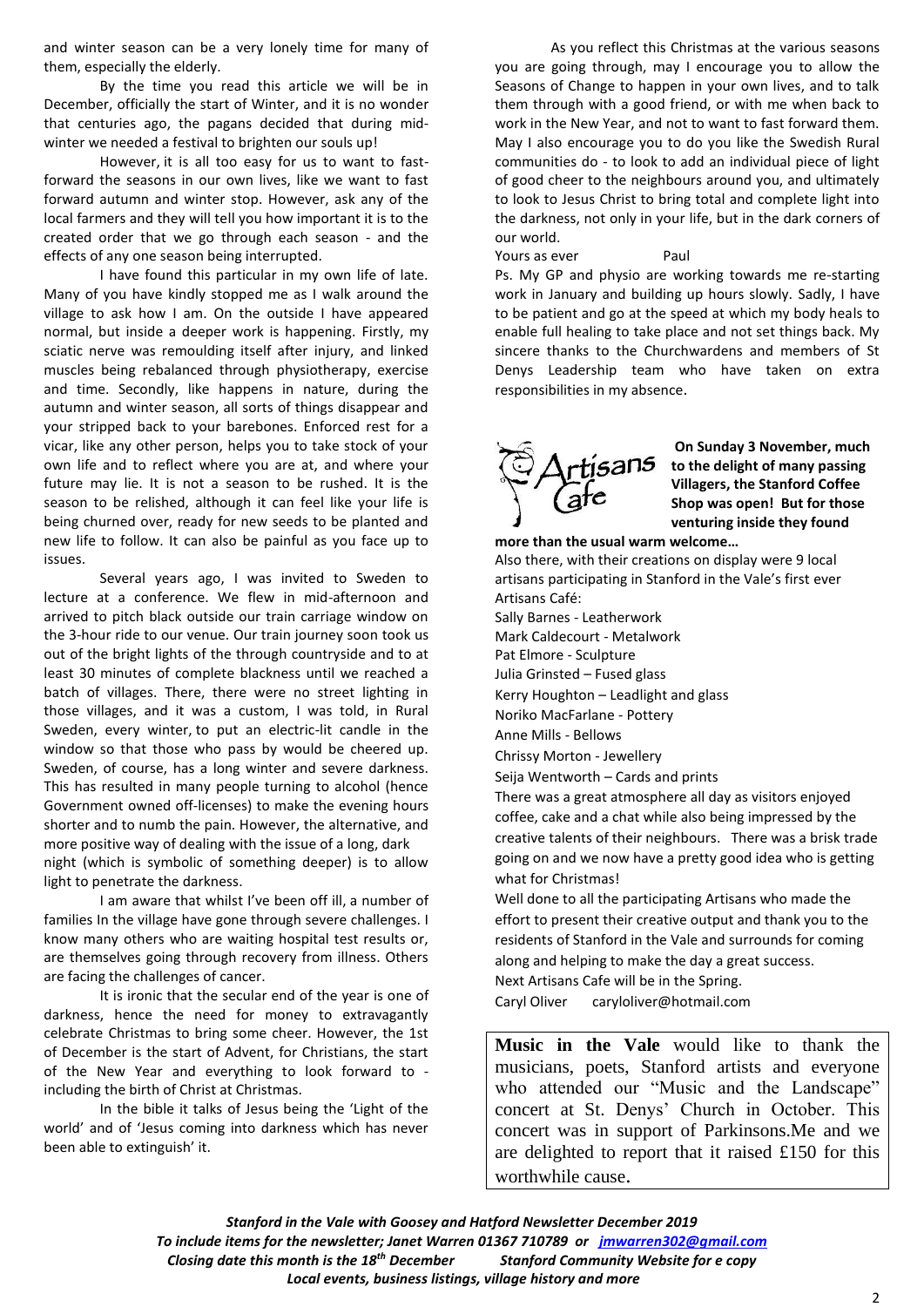and winter season can be a very lonely time for many of them, especially the elderly.

By the time you read this article we will be in December, officially the start of Winter, and it is no wonder that centuries ago, the pagans decided that during midwinter we needed a festival to brighten our souls up!

However, it is all too easy for us to want to fastforward the seasons in our own lives, like we want to fast forward autumn and winter stop. However, ask any of the local farmers and they will tell you how important it is to the created order that we go through each season - and the effects of any one season being interrupted.

I have found this particular in my own life of late. Many of you have kindly stopped me as I walk around the village to ask how I am. On the outside I have appeared normal, but inside a deeper work is happening. Firstly, my sciatic nerve was remoulding itself after injury, and linked muscles being rebalanced through physiotherapy, exercise and time. Secondly, like happens in nature, during the autumn and winter season, all sorts of things disappear and your stripped back to your barebones. Enforced rest for a vicar, like any other person, helps you to take stock of your own life and to reflect where you are at, and where your future may lie. It is not a season to be rushed. It is the season to be relished, although it can feel like your life is being churned over, ready for new seeds to be planted and new life to follow. It can also be painful as you face up to issues.

Several years ago, I was invited to Sweden to lecture at a conference. We flew in mid-afternoon and arrived to pitch black outside our train carriage window on the 3-hour ride to our venue. Our train journey soon took us out of the bright lights of the through countryside and to at least 30 minutes of complete blackness until we reached a batch of villages. There, there were no street lighting in those villages, and it was a custom, I was told, in Rural Sweden, every winter, to put an electric-lit candle in the window so that those who pass by would be cheered up. Sweden, of course, has a long winter and severe darkness. This has resulted in many people turning to alcohol (hence Government owned off-licenses) to make the evening hours shorter and to numb the pain. However, the alternative, and more positive way of dealing with the issue of a long, dark night (which is symbolic of something deeper) is to allow light to penetrate the darkness.

I am aware that whilst I've been off ill, a number of families In the village have gone through severe challenges. I know many others who are waiting hospital test results or, are themselves going through recovery from illness. Others are facing the challenges of cancer.

It is ironic that the secular end of the year is one of darkness, hence the need for money to extravagantly celebrate Christmas to bring some cheer. However, the 1st of December is the start of Advent, for Christians, the start of the New Year and everything to look forward to including the birth of Christ at Christmas.

In the bible it talks of Jesus being the 'Light of the world' and of 'Jesus coming into darkness which has never been able to extinguish' it.

As you reflect this Christmas at the various seasons you are going through, may I encourage you to allow the Seasons of Change to happen in your own lives, and to talk them through with a good friend, or with me when back to work in the New Year, and not to want to fast forward them. May I also encourage you to do you like the Swedish Rural communities do - to look to add an individual piece of light of good cheer to the neighbours around you, and ultimately to look to Jesus Christ to bring total and complete light into the darkness, not only in your life, but in the dark corners of our world.

Yours as ever **Paul** 

Ps. My GP and physio are working towards me re-starting work in January and building up hours slowly. Sadly, I have to be patient and go at the speed at which my body heals to enable full healing to take place and not set things back. My sincere thanks to the Churchwardens and members of St Denys Leadership team who have taken on extra responsibilities in my absence.



**On Sunday 3 November, much to the delight of many passing Villagers, the Stanford Coffee Shop was open! But for those venturing inside they found** 

**more than the usual warm welcome…**

Also there, with their creations on display were 9 local artisans participating in Stanford in the Vale's first ever Artisans Café: Sally Barnes - Leatherwork Mark Caldecourt - Metalwork Pat Elmore - Sculpture Julia Grinsted – Fused glass Kerry Houghton – Leadlight and glass Noriko MacFarlane - Pottery Anne Mills - Bellows Chrissy Morton - Jewellery Seija Wentworth – Cards and prints There was a great atmosphere all day as visitors enjoyed coffee, cake and a chat while also being impressed by the creative talents of their neighbours. There was a brisk trade going on and we now have a pretty good idea who is getting what for Christmas! Well done to all the participating Artisans who made the effort to present their creative output and thank you to the residents of Stanford in the Vale and surrounds for coming along and helping to make the day a great success. Next Artisans Cafe will be in the Spring.

Caryl Oliver caryloliver@hotmail.com

**Music in the Vale** would like to thank the musicians, poets, Stanford artists and everyone who attended our "Music and the Landscape" concert at St. Denys' Church in October. This concert was in support of Parkinsons.Me and we are delighted to report that it raised £150 for this worthwhile cause.

*Stanford in the Vale with Goosey and Hatford Newsletter December 2019 To include items for the newsletter; Janet Warren 01367 710789 or [jmwarren302@gmail.com](mailto:jmwarren302@gmail.com) Closing date this month is the 18th December Stanford Community Website for e copy Local events, business listings, village history and more*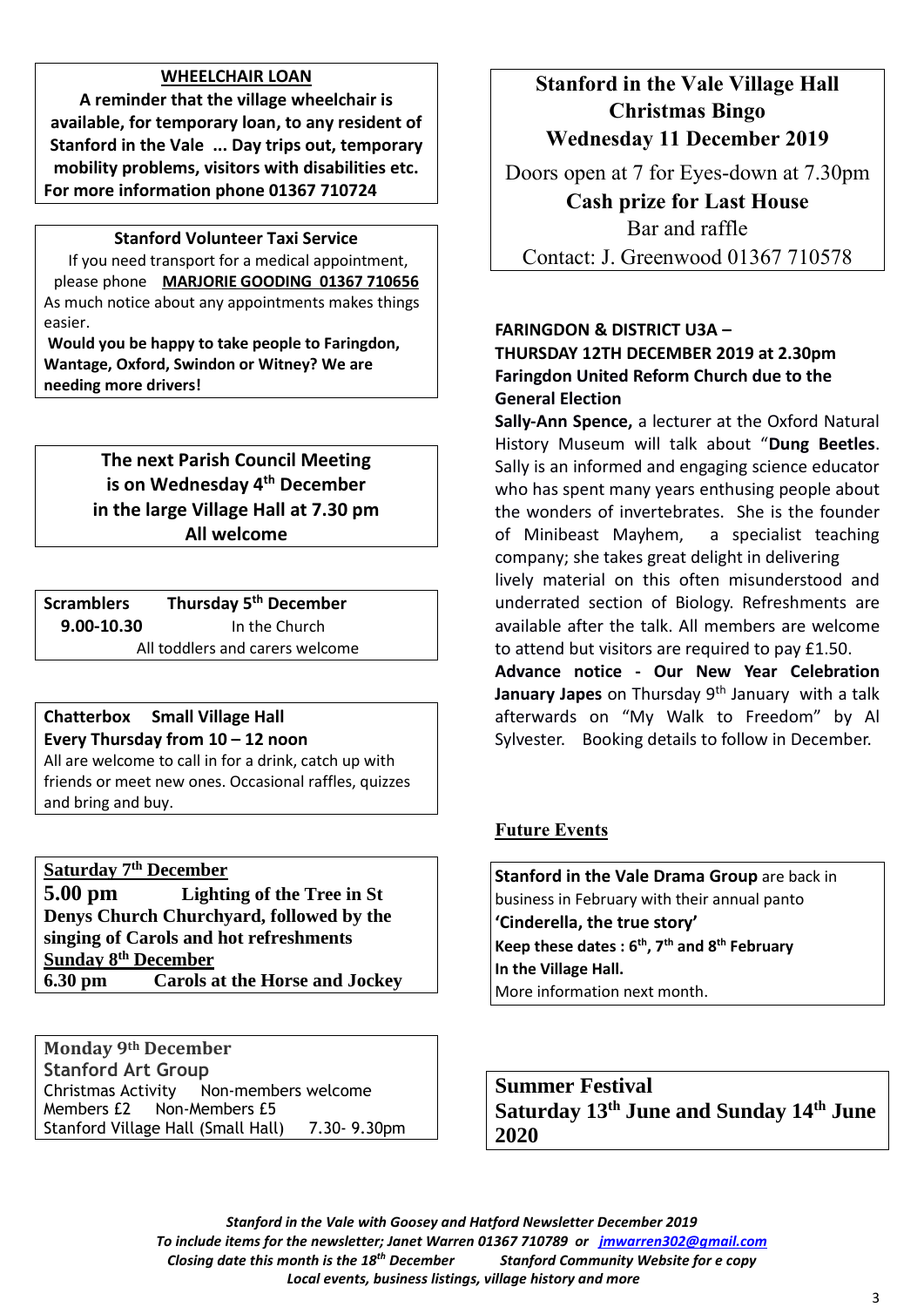# **WHEELCHAIR LOAN**

**A reminder that the village wheelchair is available, for temporary loan, to any resident of Stanford in the Vale ... Day trips out, temporary mobility problems, visitors with disabilities etc. For more information phone 01367 710724**

# **Stanford Volunteer Taxi Service**

If you need transport for a medical appointment, please phone **MARJORIE GOODING 01367 710656** As much notice about any appointments makes things easier.

**Would you be happy to take people to Faringdon, Wantage, Oxford, Swindon or Witney? We are needing more drivers!**

> **The next Parish Council Meeting is on Wednesday 4 th December in the large Village Hall at 7.30 pm All welcome**

**Scramblers Thursday 5 th December 9.00-10.30** In the Church All toddlers and carers welcome

# **Chatterbox Small Village Hall Every Thursday from 10 – 12 noon**

All are welcome to call in for a drink, catch up with friends or meet new ones. Occasional raffles, quizzes and bring and buy.

**Saturday 7th December 5.00 pm Lighting of the Tree in St** 

**Denys Church Churchyard, followed by the singing of Carols and hot refreshments Sunday 8th December 6.30 pm Carols at the Horse and Jockey**

**Monday 9th December Stanford Art Group** Christmas Activity Non-members welcome Members £2 Non-Members £5 Stanford Village Hall (Small Hall) 7.30- 9.30pm

# **Stanford in the Vale Village Hall Christmas Bingo Wednesday 11 December 2019**

Doors open at 7 for Eyes-down at 7.30pm **Cash prize for Last House** Bar and raffle Contact: J. Greenwood 01367 710578

# **FARINGDON & DISTRICT U3A – THURSDAY 12TH DECEMBER 2019 at 2.30pm Faringdon United Reform Church due to the General Election**

**Sally-Ann Spence,** a lecturer at the Oxford Natural History Museum will talk about "**Dung Beetles**. Sally is an informed and engaging science educator who has spent many years enthusing people about the wonders of invertebrates. She is the founder of Minibeast Mayhem, a specialist teaching company; she takes great delight in delivering lively material on this often misunderstood and underrated section of Biology. Refreshments are available after the talk. All members are welcome to attend but visitors are required to pay £1.50. **Advance notice - Our New Year Celebration** 

**January Japes** on Thursday 9th January with a talk afterwards on "My Walk to Freedom" by Al Sylvester. Booking details to follow in December.

# **Future Events**

**Stanford in the Vale Drama Group** are back in business in February with their annual panto **'Cinderella, the true story' Keep these dates : 6 th , 7 th and 8 th February In the Village Hall.** More information next month.

**Summer Festival Saturday 13 th June and Sunday 14 th June 2020**

*Stanford in the Vale with Goosey and Hatford Newsletter December 2019 To include items for the newsletter; Janet Warren 01367 710789 or [jmwarren302@gmail.com](mailto:jmwarren302@gmail.com) Closing date this month is the 18th December Stanford Community Website for e copy Local events, business listings, village history and more*